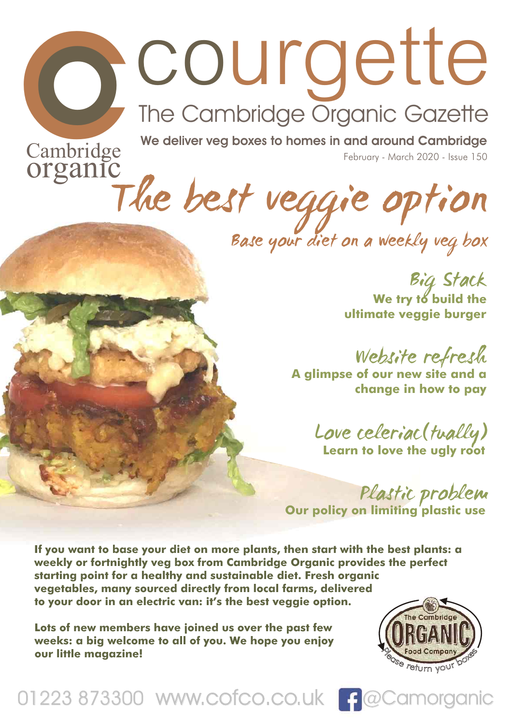# COURCE<sup>tte</sup><br>The Cambridge Organic Gazette<br>Organic We deliver veg boxes to homes in and around Cambridge<br>Organic

Cannonage<br>Organic<br>The best veggie option

Base your diet on a weekly veg box

Big Stack **We try to build the ultimate veggie burger**

Website refresh **A glimpse of our new site and a change in how to pay**

> Love celeriac(tually) **Learn to love the ugly root**

Plastic problem **Our policy on limiting plastic use**

Cambridge We deliver veg boxes to homes in and around Cambridge<br>
OTGanic Vegative Contract 2000 - business to home in the business of the contract and weekly vegative properties of the properties of the properties of the **If you want to base your diet on more plants, then start with the best plants: a weekly or fortnightly veg box from Cambridge Organic provides the perfect starting point for a healthy and sustainable diet. Fresh organic vegetables, many sourced directly from local farms, delivered to your door in an electric van: it's the best veggie option.**

**Lots of new members have joined us over the past few weeks: a big welcome to all of you. We hope you enjoy our little magazine!**



01223 873300 www.cofco.co.uk | 9 @Camorganic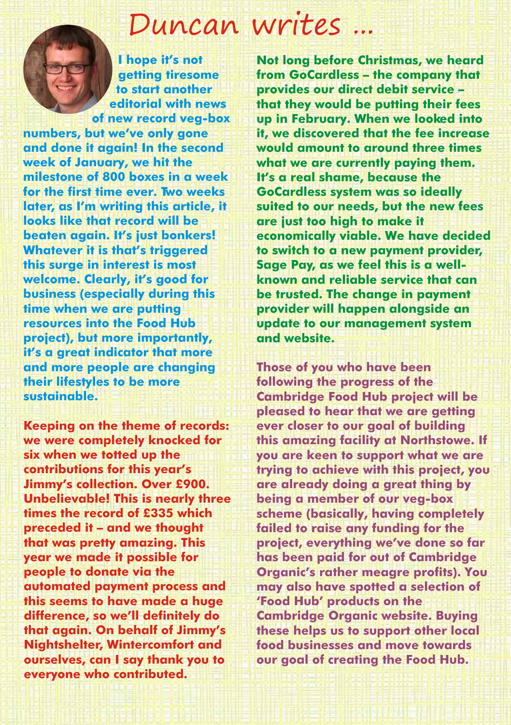# Duncan writes ...

**I hope it's not getting tiresome to start another editorial with news of new record veg-box** 

**numbers, but we've only gone and done it again! In the second week of January, we hit the milestone of 800 boxes in a week for the first time ever. Two weeks later, as I'm writing this article, it looks like that record will be beaten again. It's just bonkers! Whatever it is that's triggered this surge in interest is most welcome. Clearly, it's good for business (especially during this time when we are putting resources into the Food Hub project), but more importantly, it's a great indicator that more and more people are changing their lifestyles to be more sustainable.**

**Keeping on the theme of records: we were completely knocked for six when we totted up the contributions for this year's Jimmy's collection. Over £900. Unbelievable! This is nearly three times the record of £335 which preceded it – and we thought that was pretty amazing. This year we made it possible for people to donate via the automated payment process and this seems to have made a huge difference, so we'll definitely do that again. On behalf of Jimmy's Nightshelter, Wintercomfort and ourselves, can I say thank you to everyone who contributed.**

**Not long before Christmas, we heard from GoCardless – the company that provides our direct debit service – that they would be putting their fees up in February. When we looked into it, we discovered that the fee increase would amount to around three times what we are currently paying them. It's a real shame, because the GoCardless system was so ideally suited to our needs, but the new fees are just too high to make it economically viable. We have decided to switch to a new payment provider, Sage Pay, as we feel this is a wellknown and reliable service that can be trusted. The change in payment provider will happen alongside an update to our management system and website.**

**Those of you who have been following the progress of the Cambridge Food Hub project will be pleased to hear that we are getting ever closer to our goal of building this amazing facility at Northstowe. If you are keen to support what we are trying to achieve with this project, you are already doing a great thing by being a member of our veg-box scheme (basically, having completely failed to raise any funding for the project, everything we've done so far has been paid for out of Cambridge Organic's rather meagre profits). You may also have spotted a selection of 'Food Hub' products on the Cambridge Organic website. Buying these helps us to support other local food businesses and move towards our goal of creating the Food Hub.**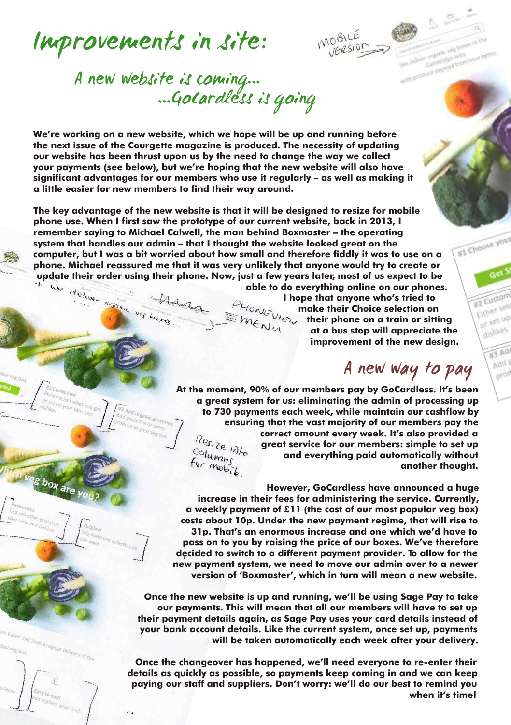

g box are



### A new website is coming... ...GoCardless is going

**We're working on a new website, which we hope will be up and running before the next issue of the Courgette magazine is produced. The necessity of updating our website has been thrust upon us by the need to change the way we collect your payments (see below), but we're hoping that the new website will also have significant advantages for our members who use it regularly – as well as making it a little easier for new members to find their way around.**

**The key advantage of the new website is that it will be designed to resize for mobile phone use. When I first saw the prototype of our current website, back in 2013, I remember saying to Michael Calwell, the man behind Boxmaster – the operating system that handles our admin – that I thought the website looked great on the computer, but I was a bit worried about how small and therefore fiddly it was to use on a phone. Michael reassured me that it was very unlikely that anyone would try to create or** 

EMENU

update their order using their phone. Now, just a few years later, most of us expect to be<br>able to do everything online on our phones<br>I hope that anyone who's tried to<br>make their Choice selection on<br> $\mathbb{R}^{H_0}$  make the **able to do everything online on our phones. I hope that anyone who's tried to make their Choice selection on their phone on a train or sitting at a bus stop will appreciate the improvement of the new design.**

A new way to pay

**At the moment, 90% of our members pay by GoCardless. It's been a great system for us: eliminating the admin of processing up to 730 payments each week, while maintain our cashflow by ensuring that the vast majority of our members pay the correct amount every week. It's also provided a**  Renze into **great service for our members: simple to set up**   $\frac{Columms}{f}$ **and everything paid automatically without**  for mobile **another thought.**

**However, GoCardless have announced a huge increase in their fees for administering the service. Currently, a weekly payment of £11 (the cost of our most popular veg box) costs about 10p. Under the new payment regime, that will rise to 31p. That's an enormous increase and one which we'd have to pass on to you by raising the price of our boxes. We've therefore decided to switch to a different payment provider. To allow for the new payment system, we need to move our admin over to a newer version of 'Boxmaster', which in turn will mean a new website.**

**Once the new website is up and running, we'll be using Sage Pay to take our payments. This will mean that all our members will have to set up their payment details again, as Sage Pay uses your card details instead of your bank account details. Like the current system, once set up, payments will be taken automatically each week after your delivery.** 

**Once the changeover has happened, we'll need everyone to re-enter their details as quickly as possible, so payments keep coming in and we can keep paying our staff and suppliers. Don't worry: we'll do our best to remind you when it's time!**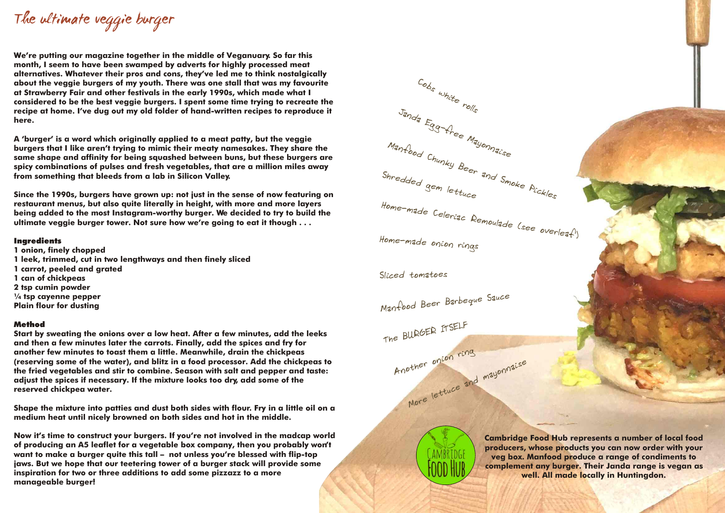The ultimate veggie burger

**We're putting our magazine together in the middle of Veganuary. So far this month, I seem to have been swamped by adverts for highly processed meat alternatives. Whatever their pros and cons, they've led me to think nostalgically about the veggie burgers of my youth. There was one stall that was my favourite at Strawberry Fair and other festivals in the early 1990s, which made what I considered to be the best veggie burgers. I spent some time trying to recreate the recipe at home. I've dug out my old folder of hand-written recipes to reproduce it here.**

**A 'burger' is a word which originally applied to a meat patty, but the veggie burgers that I like aren't trying to mimic their meaty namesakes. They share the same shape and affinity for being squashed between buns, but these burgers are spicy combinations of pulses and fresh vegetables, that are a million miles away from something that bleeds from a lab in Silicon Valley.**

**Since the 1990s, burgers have grown up: not just in the sense of now featuring on restaurant menus, but also quite literally in height, with more and more layers being added to the most Instagram-worthy burger. We decided to try to build the ultimate veggie burger tower. Not sure how we're going to eat it though . . .**

#### **Ingredients**

**1 onion, finely chopped 1 leek, trimmed, cut in two lengthways and then finely sliced 1 carrot, peeled and grated 1 can of chickpeas 2 tsp cumin powder ¼ tsp cayenne pepper Plain flour for dusting**

#### Method

**Start by sweating the onions over a low heat. After a few minutes, add the leeks and then a few minutes later the carrots. Finally, add the spices and fry for another few minutes to toast them a little. Meanwhile, drain the chickpeas (reserving some of the water), and blitz in a food processor. Add the chickpeas to the fried vegetables and stir to combine. Season with salt and pepper and taste: adjust the spices if necessary. If the mixture looks too dry, add some of the reserved chickpea water.**

**Shape the mixture into patties and dust both sides with flour. Fry in a little oil on a medium heat until nicely browned on both sides and hot in the middle.**

**Now it's time to construct your burgers. If you're not involved in the madcap world of producing an A5 leaflet for a vegetable box company, then you probably won't want to make a burger quite this tall – not unless you're blessed with flip-top jaws. But we hope that our teetering tower of a burger stack will provide some inspiration for two or three additions to add some pizzazz to a more manageable burger!**



Sliced tomatoes

Manfood Beer Barbeque Sauce

other one<br>More lettuce and mayonnaise Another oncon ring The BURGER ITSELF

> **Cambridge Food Hub represents a number of local food producers, whose products you can now order with your veg box. Manfood produce a range of condiments to complement any burger. Their Janda range is vegan as well. All made locally in Huntingdon.**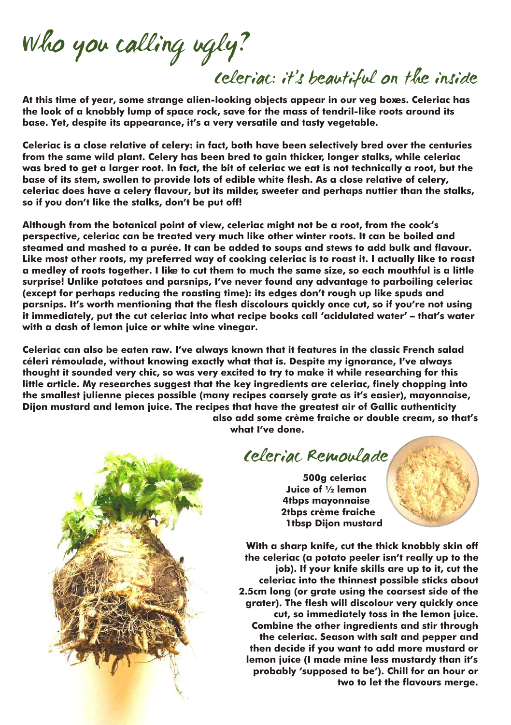Who you calling ugly?

Celeriac: it's beautiful on the inside

**At this time of year, some strange alien-looking objects appear in our veg boxes. Celeriac has the look of a knobbly lump of space rock, save for the mass of tendril-like roots around its base. Yet, despite its appearance, it's a very versatile and tasty vegetable.**

**Celeriac is a close relative of celery: in fact, both have been selectively bred over the centuries from the same wild plant. Celery has been bred to gain thicker, longer stalks, while celeriac was bred to get a larger root. In fact, the bit of celeriac we eat is not technically a root, but the base of its stem, swollen to provide lots of edible white flesh. As a close relative of celery, celeriac does have a celery flavour, but its milder, sweeter and perhaps nuttier than the stalks, so if you don't like the stalks, don't be put off!**

**Although from the botanical point of view, celeriac might not be a root, from the cook's perspective, celeriac can be treated very much like other winter roots. It can be boiled and steamed and mashed to a purée. It can be added to soups and stews to add bulk and flavour. Like most other roots, my preferred way of cooking celeriac is to roast it. I actually like to roast a medley of roots together. I like to cut them to much the same size, so each mouthful is a little surprise! Unlike potatoes and parsnips, I've never found any advantage to parboiling celeriac (except for perhaps reducing the roasting time): its edges don't rough up like spuds and parsnips. It's worth mentioning that the flesh discolours quickly once cut, so if you're not using it immediately, put the cut celeriac into what recipe books call 'acidulated water' – that's water with a dash of lemon juice or white wine vinegar.**

**Celeriac can also be eaten raw. I've always known that it features in the classic French salad céleri rémoulade, without knowing exactly what that is. Despite my ignorance, I've always thought it sounded very chic, so was very excited to try to make it while researching for this little article. My researches suggest that the key ingredients are celeriac, finely chopping into the smallest julienne pieces possible (many recipes coarsely grate as it's easier), mayonnaise, Dijon mustard and lemon juice. The recipes that have the greatest air of Gallic authenticity** 

**also add some crème fraiche or double cream, so that's what I've done.**

Celeriac Remoulade

**500g celeriac Juice of ½ lemon 4tbps mayonnaise 2tbps crème fraiche 1tbsp Dijon mustard**

**With a sharp knife, cut the thick knobbly skin off the celeriac (a potato peeler isn't really up to the job). If your knife skills are up to it, cut the celeriac into the thinnest possible sticks about 2.5cm long (or grate using the coarsest side of the grater). The flesh will discolour very quickly once cut, so immediately toss in the lemon juice. Combine the other ingredients and stir through the celeriac. Season with salt and pepper and then decide if you want to add more mustard or lemon juice (I made mine less mustardy than it's probably 'supposed to be'). Chill for an hour or two to let the flavours merge.**

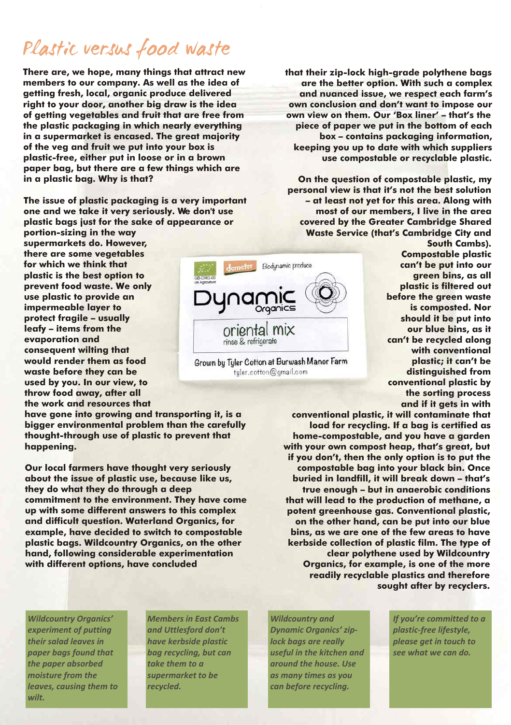## Plastic versus food waste

**There are, we hope, many things that attract new members to our company. As well as the idea of getting fresh, local, organic produce delivered right to your door, another big draw is the idea of getting vegetables and fruit that are free from the plastic packaging in which nearly everything in a supermarket is encased. The great majority of the veg and fruit we put into your box is plastic-free, either put in loose or in a brown paper bag, but there are a few things which are in a plastic bag. Why is that?**

**The issue of plastic packaging is a very important one and we take it very seriously. We don't use plastic bags just for the sake of appearance or** 

**portion-sizing in the way supermarkets do. However, there are some vegetables for which we think that plastic is the best option to prevent food waste. We only use plastic to provide an impermeable layer to protect fragile – usually leafy – items from the evaporation and consequent wilting that would render them as food waste before they can be used by you. In our view, to throw food away, after all the work and resources that** 

**have gone into growing and transporting it, is a bigger environmental problem than the carefully thought-through use of plastic to prevent that happening.**

**Our local farmers have thought very seriously about the issue of plastic use, because like us, they do what they do through a deep commitment to the environment. They have come up with some different answers to this complex and difficult question. Waterland Organics, for example, have decided to switch to compostable plastic bags. Wildcountry Organics, on the other hand, following considerable experimentation with different options, have concluded**

**that their zip-lock high-grade polythene bags are the better option. With such a complex and nuanced issue, we respect each farm's own conclusion and don't want to impose our own view on them. Our 'Box liner' – that's the piece of paper we put in the bottom of each box – contains packaging information, keeping you up to date with which suppliers use compostable or recyclable plastic.**

**On the question of compostable plastic, my personal view is that it's not the best solution – at least not yet for this area. Along with most of our members, I live in the area covered by the Greater Cambridge Shared Waste Service (that's Cambridge City and** 



Grown by Tyler Cotton at Burwash Manor Farm tuler.cotton@gmail.com

**South Cambs). Compostable plastic can't be put into our green bins, as all plastic is filtered out before the green waste is composted. Nor should it be put into our blue bins, as it can't be recycled along with conventional plastic; it can't be distinguished from conventional plastic by the sorting process and if it gets in with** 

**conventional plastic, it will contaminate that load for recycling. If a bag is certified as home-compostable, and you have a garden with your own compost heap, that's great, but if you don't, then the only option is to put the compostable bag into your black bin. Once buried in landfill, it will break down – that's true enough – but in anaerobic conditions that will lead to the production of methane, a potent greenhouse gas. Conventional plastic, on the other hand, can be put into our blue bins, as we are one of the few areas to have kerbside collection of plastic film. The type of clear polythene used by Wildcountry Organics, for example, is one of the more readily recyclable plastics and therefore sought after by recyclers.**

*wilt.*

*the paper absorbed* take them to a and a around the house. Use *moisture from the supermarket to be as many times as you leaves, causing them to recycled. can before recycling.*

*Wildcountry Organics' Members in East Cambs Wildcountry and If you're committed to a experiment of putting and Uttlesford don't Dynamic Organics' zip- plastic-free lifestyle, their salad leaves in have kerbside plastic lock bags are really please get in touch to paper bags found that bag recycling, but can useful in the kitchen and see what we can do.*